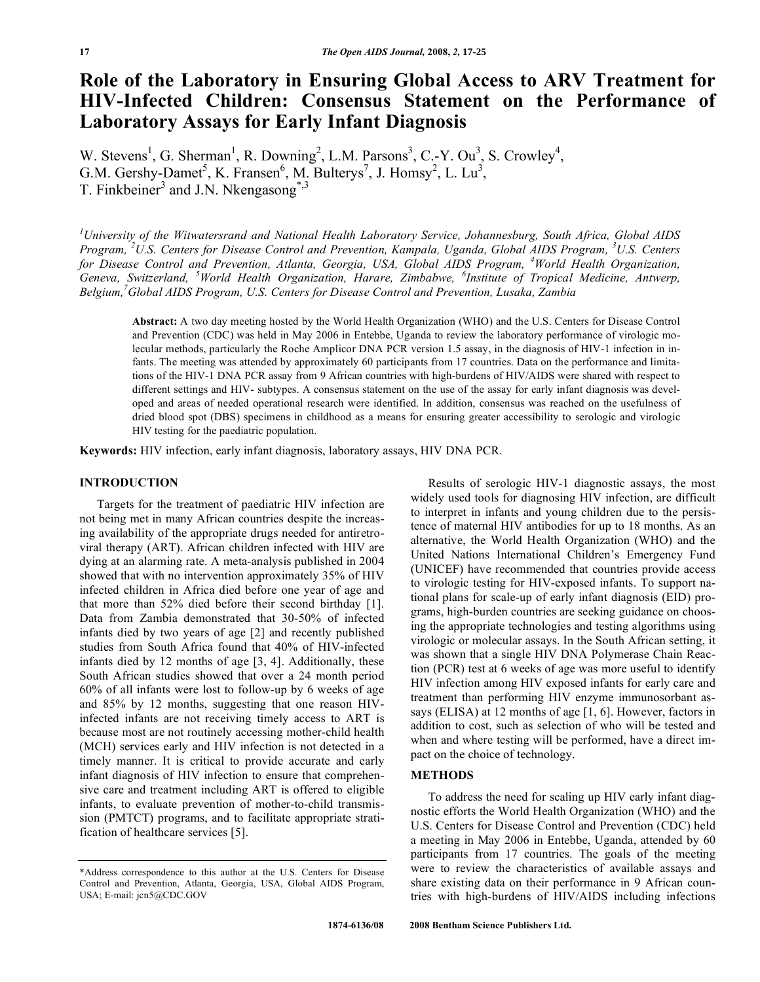# **Role of the Laboratory in Ensuring Global Access to ARV Treatment for HIV-Infected Children: Consensus Statement on the Performance of Laboratory Assays for Early Infant Diagnosis**

W. Stevens<sup>1</sup>, G. Sherman<sup>1</sup>, R. Downing<sup>2</sup>, L.M. Parsons<sup>3</sup>, C.-Y. Ou<sup>3</sup>, S. Crowley<sup>4</sup>, G.M. Gershy-Damet<sup>5</sup>, K. Fransen<sup>6</sup>, M. Bulterys<sup>7</sup>, J. Homsy<sup>2</sup>, L. Lu<sup>3</sup>, T. Finkbeiner<sup>3</sup> and J.N. Nkengasong<sup>\*,3</sup>

*1 University of the Witwatersrand and National Health Laboratory Service, Johannesburg, South Africa, Global AIDS Program, <sup>2</sup> U.S. Centers for Disease Control and Prevention, Kampala, Uganda, Global AIDS Program, <sup>3</sup> U.S. Centers*  for Disease Control and Prevention, Atlanta, Georgia, USA, Global AIDS Program, <sup>4</sup>World Health Organization, *Geneva, Switzerland, <sup>5</sup> World Health Organization, Harare, Zimbabwe, <sup>6</sup> Institute of Tropical Medicine, Antwerp, Belgium,7 Global AIDS Program, U.S. Centers for Disease Control and Prevention, Lusaka, Zambia* 

**Abstract:** A two day meeting hosted by the World Health Organization (WHO) and the U.S. Centers for Disease Control and Prevention (CDC) was held in May 2006 in Entebbe, Uganda to review the laboratory performance of virologic molecular methods, particularly the Roche Amplicor DNA PCR version 1.5 assay, in the diagnosis of HIV-1 infection in infants. The meeting was attended by approximately 60 participants from 17 countries. Data on the performance and limitations of the HIV-1 DNA PCR assay from 9 African countries with high-burdens of HIV/AIDS were shared with respect to different settings and HIV- subtypes. A consensus statement on the use of the assay for early infant diagnosis was developed and areas of needed operational research were identified. In addition, consensus was reached on the usefulness of dried blood spot (DBS) specimens in childhood as a means for ensuring greater accessibility to serologic and virologic HIV testing for the paediatric population.

**Keywords:** HIV infection, early infant diagnosis, laboratory assays, HIV DNA PCR.

### **INTRODUCTION**

 Targets for the treatment of paediatric HIV infection are not being met in many African countries despite the increasing availability of the appropriate drugs needed for antiretroviral therapy (ART). African children infected with HIV are dying at an alarming rate. A meta-analysis published in 2004 showed that with no intervention approximately 35% of HIV infected children in Africa died before one year of age and that more than 52% died before their second birthday [1]. Data from Zambia demonstrated that 30-50% of infected infants died by two years of age [2] and recently published studies from South Africa found that 40% of HIV-infected infants died by 12 months of age [3, 4]. Additionally, these South African studies showed that over a 24 month period 60% of all infants were lost to follow-up by 6 weeks of age and 85% by 12 months, suggesting that one reason HIVinfected infants are not receiving timely access to ART is because most are not routinely accessing mother-child health (MCH) services early and HIV infection is not detected in a timely manner. It is critical to provide accurate and early infant diagnosis of HIV infection to ensure that comprehensive care and treatment including ART is offered to eligible infants, to evaluate prevention of mother-to-child transmission (PMTCT) programs, and to facilitate appropriate stratification of healthcare services [5].

 Results of serologic HIV-1 diagnostic assays, the most widely used tools for diagnosing HIV infection, are difficult to interpret in infants and young children due to the persistence of maternal HIV antibodies for up to 18 months. As an alternative, the World Health Organization (WHO) and the United Nations International Children's Emergency Fund (UNICEF) have recommended that countries provide access to virologic testing for HIV-exposed infants. To support national plans for scale-up of early infant diagnosis (EID) programs, high-burden countries are seeking guidance on choosing the appropriate technologies and testing algorithms using virologic or molecular assays. In the South African setting, it was shown that a single HIV DNA Polymerase Chain Reaction (PCR) test at 6 weeks of age was more useful to identify HIV infection among HIV exposed infants for early care and treatment than performing HIV enzyme immunosorbant assays (ELISA) at 12 months of age [1, 6]. However, factors in addition to cost, such as selection of who will be tested and when and where testing will be performed, have a direct impact on the choice of technology.

# **METHODS**

 To address the need for scaling up HIV early infant diagnostic efforts the World Health Organization (WHO) and the U.S. Centers for Disease Control and Prevention (CDC) held a meeting in May 2006 in Entebbe, Uganda, attended by 60 participants from 17 countries. The goals of the meeting were to review the characteristics of available assays and share existing data on their performance in 9 African countries with high-burdens of HIV/AIDS including infections

<sup>\*</sup>Address correspondence to this author at the U.S. Centers for Disease Control and Prevention, Atlanta, Georgia, USA, Global AIDS Program, USA; E-mail: jcn5@CDC.GOV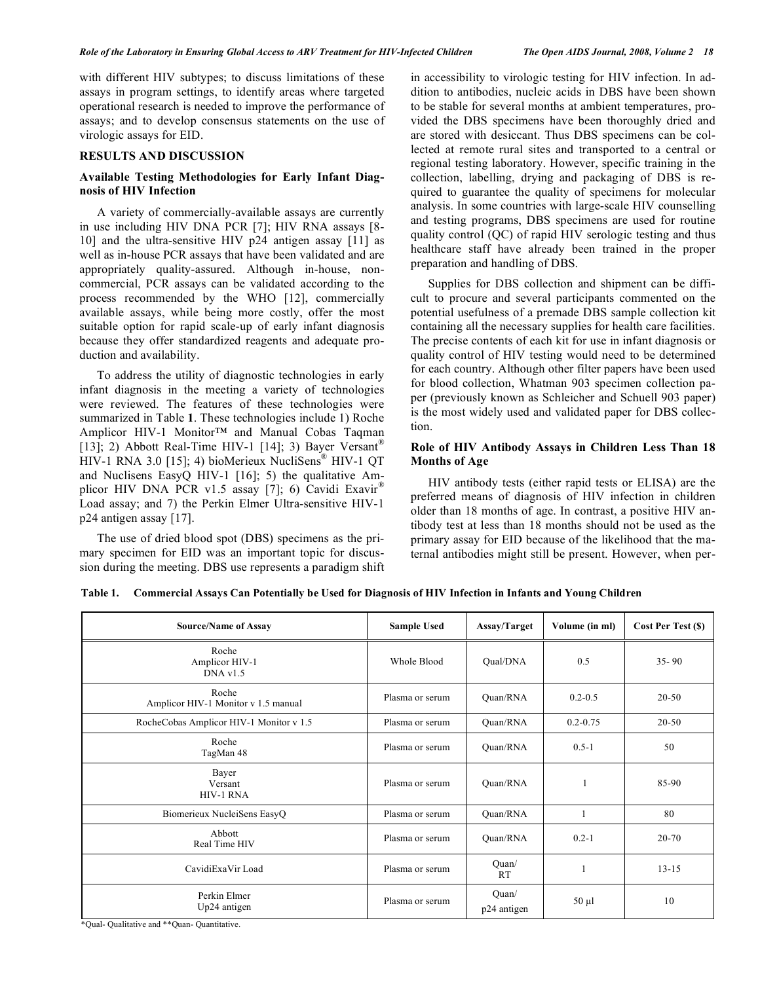with different HIV subtypes; to discuss limitations of these assays in program settings, to identify areas where targeted operational research is needed to improve the performance of assays; and to develop consensus statements on the use of virologic assays for EID.

# **RESULTS AND DISCUSSION**

# **Available Testing Methodologies for Early Infant Diagnosis of HIV Infection**

 A variety of commercially-available assays are currently in use including HIV DNA PCR [7]; HIV RNA assays [8- 10] and the ultra-sensitive HIV p24 antigen assay [11] as well as in-house PCR assays that have been validated and are appropriately quality-assured. Although in-house, noncommercial, PCR assays can be validated according to the process recommended by the WHO [12], commercially available assays, while being more costly, offer the most suitable option for rapid scale-up of early infant diagnosis because they offer standardized reagents and adequate production and availability.

 To address the utility of diagnostic technologies in early infant diagnosis in the meeting a variety of technologies were reviewed. The features of these technologies were summarized in Table **1**. These technologies include 1) Roche Amplicor HIV-1 Monitor™ and Manual Cobas Taqman [13]; 2) Abbott Real-Time HIV-1 [14]; 3) Bayer Versant<sup>®</sup> HIV-1 RNA 3.0 [15]; 4) bioMerieux NucliSens® HIV-1 QT and Nuclisens EasyQ HIV-1 [16]; 5) the qualitative Amplicor HIV DNA PCR v1.5 assay [7]; 6) Cavidi Exavir<sup>®</sup> Load assay; and 7) the Perkin Elmer Ultra-sensitive HIV-1 p24 antigen assay [17].

 The use of dried blood spot (DBS) specimens as the primary specimen for EID was an important topic for discussion during the meeting. DBS use represents a paradigm shift in accessibility to virologic testing for HIV infection. In addition to antibodies, nucleic acids in DBS have been shown to be stable for several months at ambient temperatures, provided the DBS specimens have been thoroughly dried and are stored with desiccant. Thus DBS specimens can be collected at remote rural sites and transported to a central or regional testing laboratory. However, specific training in the collection, labelling, drying and packaging of DBS is required to guarantee the quality of specimens for molecular analysis. In some countries with large-scale HIV counselling and testing programs, DBS specimens are used for routine quality control (QC) of rapid HIV serologic testing and thus healthcare staff have already been trained in the proper preparation and handling of DBS.

 Supplies for DBS collection and shipment can be difficult to procure and several participants commented on the potential usefulness of a premade DBS sample collection kit containing all the necessary supplies for health care facilities. The precise contents of each kit for use in infant diagnosis or quality control of HIV testing would need to be determined for each country. Although other filter papers have been used for blood collection, Whatman 903 specimen collection paper (previously known as Schleicher and Schuell 903 paper) is the most widely used and validated paper for DBS collection.

# **Role of HIV Antibody Assays in Children Less Than 18 Months of Age**

 HIV antibody tests (either rapid tests or ELISA) are the preferred means of diagnosis of HIV infection in children older than 18 months of age. In contrast, a positive HIV antibody test at less than 18 months should not be used as the primary assay for EID because of the likelihood that the maternal antibodies might still be present. However, when per-

| <b>Source/Name of Assay</b>                  | <b>Sample Used</b> | Assay/Target         | Volume (in ml) | Cost Per Test (\$) |
|----------------------------------------------|--------------------|----------------------|----------------|--------------------|
| Roche<br>Amplicor HIV-1<br>DNA v1.5          | Whole Blood        | Qual/DNA             | 0.5            | $35 - 90$          |
| Roche<br>Amplicor HIV-1 Monitor v 1.5 manual | Plasma or serum    | Ouan/RNA             | $0.2 - 0.5$    | $20 - 50$          |
| RocheCobas Amplicor HIV-1 Monitor v 1.5      | Plasma or serum    | Ouan/RNA             | $0.2 - 0.75$   | 20-50              |
| Roche<br>TagMan 48                           | Plasma or serum    | Ouan/RNA             | $0.5 - 1$      | 50                 |
| Bayer<br>Versant<br><b>HIV-1 RNA</b>         | Plasma or serum    | Quan/RNA             |                | 85-90              |
| Biomerieux NucleiSens EasyQ                  | Plasma or serum    | Quan/RNA             | 1              | 80                 |
| Abbott<br>Real Time HIV                      | Plasma or serum    | Quan/RNA             | $0.2 - 1$      | 20-70              |
| CavidiExaVir Load                            | Plasma or serum    | Quan/<br><b>RT</b>   |                | $13 - 15$          |
| Perkin Elmer<br>Up24 antigen                 | Plasma or serum    | Quan/<br>p24 antigen | $50 \mu l$     | 10                 |

**Table 1. Commercial Assays Can Potentially be Used for Diagnosis of HIV Infection in Infants and Young Children** 

\*Qual- Qualitative and \*\*Quan- Quantitative.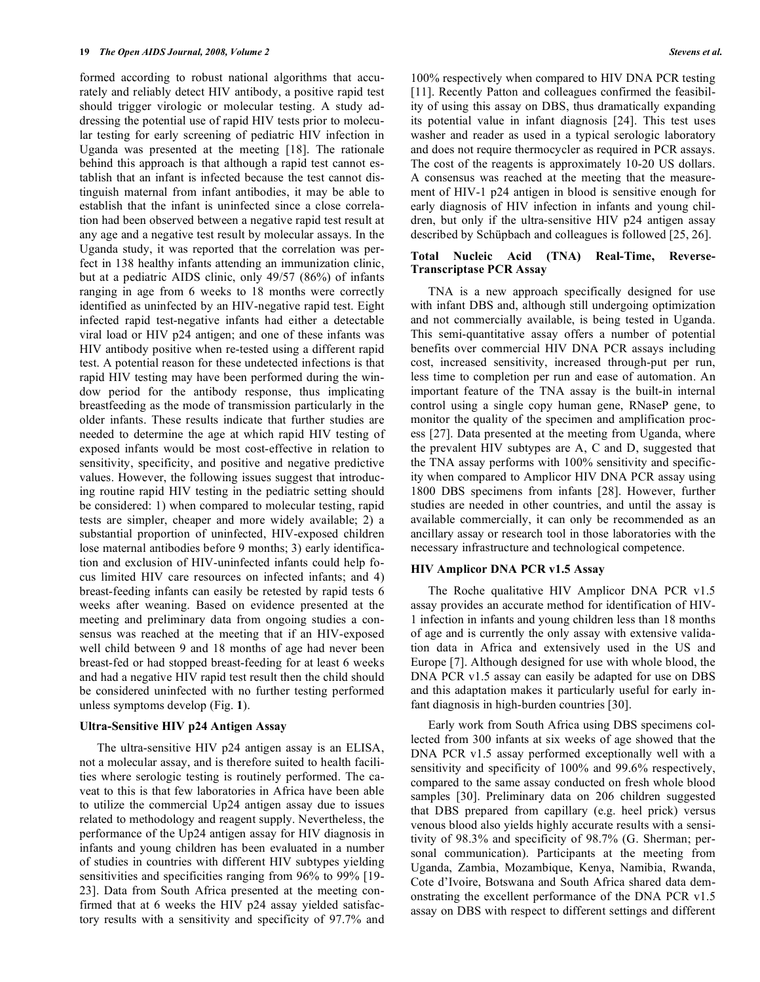formed according to robust national algorithms that accurately and reliably detect HIV antibody, a positive rapid test should trigger virologic or molecular testing. A study addressing the potential use of rapid HIV tests prior to molecular testing for early screening of pediatric HIV infection in Uganda was presented at the meeting [18]. The rationale behind this approach is that although a rapid test cannot establish that an infant is infected because the test cannot distinguish maternal from infant antibodies, it may be able to establish that the infant is uninfected since a close correlation had been observed between a negative rapid test result at any age and a negative test result by molecular assays. In the Uganda study, it was reported that the correlation was perfect in 138 healthy infants attending an immunization clinic, but at a pediatric AIDS clinic, only 49/57 (86%) of infants ranging in age from 6 weeks to 18 months were correctly identified as uninfected by an HIV-negative rapid test. Eight infected rapid test-negative infants had either a detectable viral load or HIV p24 antigen; and one of these infants was HIV antibody positive when re-tested using a different rapid test. A potential reason for these undetected infections is that rapid HIV testing may have been performed during the window period for the antibody response, thus implicating breastfeeding as the mode of transmission particularly in the older infants. These results indicate that further studies are needed to determine the age at which rapid HIV testing of exposed infants would be most cost-effective in relation to sensitivity, specificity, and positive and negative predictive values. However, the following issues suggest that introducing routine rapid HIV testing in the pediatric setting should be considered: 1) when compared to molecular testing, rapid tests are simpler, cheaper and more widely available; 2) a substantial proportion of uninfected, HIV-exposed children lose maternal antibodies before 9 months; 3) early identification and exclusion of HIV-uninfected infants could help focus limited HIV care resources on infected infants; and 4) breast-feeding infants can easily be retested by rapid tests 6 weeks after weaning. Based on evidence presented at the meeting and preliminary data from ongoing studies a consensus was reached at the meeting that if an HIV-exposed well child between 9 and 18 months of age had never been breast-fed or had stopped breast-feeding for at least 6 weeks and had a negative HIV rapid test result then the child should be considered uninfected with no further testing performed unless symptoms develop (Fig. **1**).

### **Ultra-Sensitive HIV p24 Antigen Assay**

 The ultra-sensitive HIV p24 antigen assay is an ELISA, not a molecular assay, and is therefore suited to health facilities where serologic testing is routinely performed. The caveat to this is that few laboratories in Africa have been able to utilize the commercial Up24 antigen assay due to issues related to methodology and reagent supply. Nevertheless, the performance of the Up24 antigen assay for HIV diagnosis in infants and young children has been evaluated in a number of studies in countries with different HIV subtypes yielding sensitivities and specificities ranging from 96% to 99% [19- 23]. Data from South Africa presented at the meeting confirmed that at 6 weeks the HIV p24 assay yielded satisfactory results with a sensitivity and specificity of 97.7% and 100% respectively when compared to HIV DNA PCR testing [11]. Recently Patton and colleagues confirmed the feasibility of using this assay on DBS, thus dramatically expanding its potential value in infant diagnosis [24]. This test uses washer and reader as used in a typical serologic laboratory and does not require thermocycler as required in PCR assays. The cost of the reagents is approximately 10-20 US dollars. A consensus was reached at the meeting that the measurement of HIV-1 p24 antigen in blood is sensitive enough for early diagnosis of HIV infection in infants and young children, but only if the ultra-sensitive HIV p24 antigen assay described by Schüpbach and colleagues is followed [25, 26].

### **Total Nucleic Acid (TNA) Real-Time, Reverse-Transcriptase PCR Assay**

 TNA is a new approach specifically designed for use with infant DBS and, although still undergoing optimization and not commercially available, is being tested in Uganda. This semi-quantitative assay offers a number of potential benefits over commercial HIV DNA PCR assays including cost, increased sensitivity, increased through-put per run, less time to completion per run and ease of automation. An important feature of the TNA assay is the built-in internal control using a single copy human gene, RNaseP gene, to monitor the quality of the specimen and amplification process [27]. Data presented at the meeting from Uganda, where the prevalent HIV subtypes are A, C and D, suggested that the TNA assay performs with 100% sensitivity and specificity when compared to Amplicor HIV DNA PCR assay using 1800 DBS specimens from infants [28]. However, further studies are needed in other countries, and until the assay is available commercially, it can only be recommended as an ancillary assay or research tool in those laboratories with the necessary infrastructure and technological competence.

### **HIV Amplicor DNA PCR v1.5 Assay**

 The Roche qualitative HIV Amplicor DNA PCR v1.5 assay provides an accurate method for identification of HIV-1 infection in infants and young children less than 18 months of age and is currently the only assay with extensive validation data in Africa and extensively used in the US and Europe [7]. Although designed for use with whole blood, the DNA PCR v1.5 assay can easily be adapted for use on DBS and this adaptation makes it particularly useful for early infant diagnosis in high-burden countries [30].

 Early work from South Africa using DBS specimens collected from 300 infants at six weeks of age showed that the DNA PCR v1.5 assay performed exceptionally well with a sensitivity and specificity of 100% and 99.6% respectively, compared to the same assay conducted on fresh whole blood samples [30]. Preliminary data on 206 children suggested that DBS prepared from capillary (e.g. heel prick) versus venous blood also yields highly accurate results with a sensitivity of 98.3% and specificity of 98.7% (G. Sherman; personal communication). Participants at the meeting from Uganda, Zambia, Mozambique, Kenya, Namibia, Rwanda, Cote d'Ivoire, Botswana and South Africa shared data demonstrating the excellent performance of the DNA PCR v1.5 assay on DBS with respect to different settings and different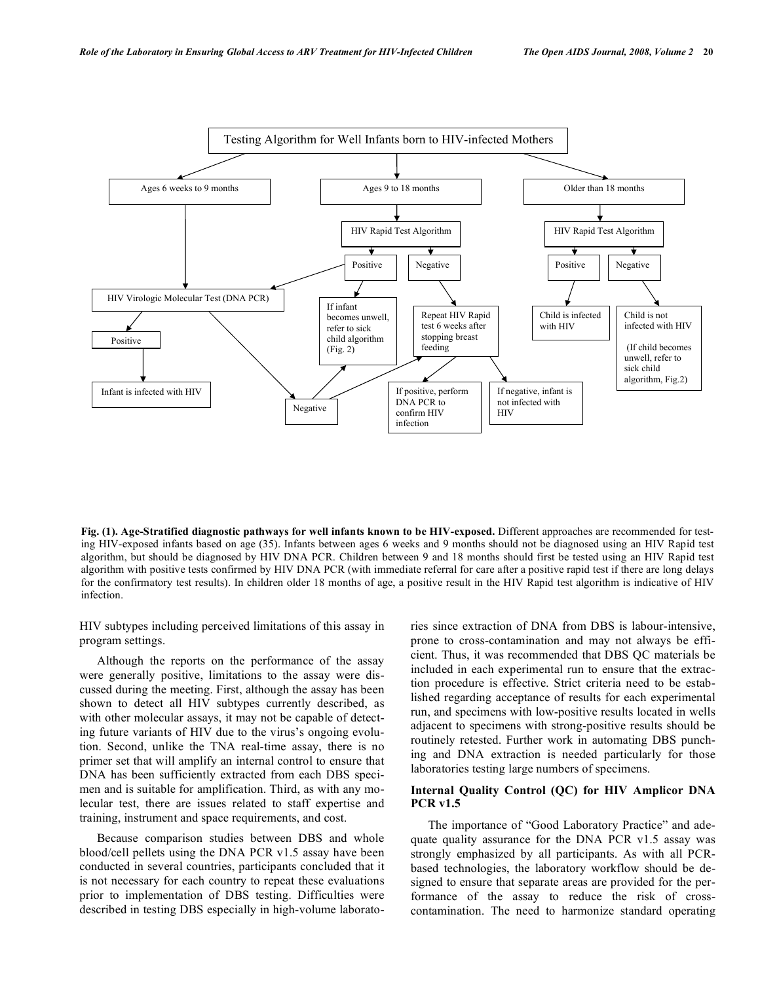

**Fig. (1). Age-Stratified diagnostic pathways for well infants known to be HIV-exposed.** Different approaches are recommended for testing HIV-exposed infants based on age (35). Infants between ages 6 weeks and 9 months should not be diagnosed using an HIV Rapid test algorithm, but should be diagnosed by HIV DNA PCR. Children between 9 and 18 months should first be tested using an HIV Rapid test algorithm with positive tests confirmed by HIV DNA PCR (with immediate referral for care after a positive rapid test if there are long delays for the confirmatory test results). In children older 18 months of age, a positive result in the HIV Rapid test algorithm is indicative of HIV infection.

HIV subtypes including perceived limitations of this assay in program settings.

 Although the reports on the performance of the assay were generally positive, limitations to the assay were discussed during the meeting. First, although the assay has been shown to detect all HIV subtypes currently described, as with other molecular assays, it may not be capable of detecting future variants of HIV due to the virus's ongoing evolution. Second, unlike the TNA real-time assay, there is no primer set that will amplify an internal control to ensure that DNA has been sufficiently extracted from each DBS specimen and is suitable for amplification. Third, as with any molecular test, there are issues related to staff expertise and training, instrument and space requirements, and cost.

 Because comparison studies between DBS and whole blood/cell pellets using the DNA PCR v1.5 assay have been conducted in several countries, participants concluded that it is not necessary for each country to repeat these evaluations prior to implementation of DBS testing. Difficulties were described in testing DBS especially in high-volume laboratories since extraction of DNA from DBS is labour-intensive, prone to cross-contamination and may not always be efficient. Thus, it was recommended that DBS QC materials be included in each experimental run to ensure that the extraction procedure is effective. Strict criteria need to be established regarding acceptance of results for each experimental run, and specimens with low-positive results located in wells adjacent to specimens with strong-positive results should be routinely retested. Further work in automating DBS punching and DNA extraction is needed particularly for those laboratories testing large numbers of specimens.

# **Internal Quality Control (QC) for HIV Amplicor DNA PCR v1.5**

 The importance of "Good Laboratory Practice" and adequate quality assurance for the DNA PCR v1.5 assay was strongly emphasized by all participants. As with all PCRbased technologies, the laboratory workflow should be designed to ensure that separate areas are provided for the performance of the assay to reduce the risk of crosscontamination. The need to harmonize standard operating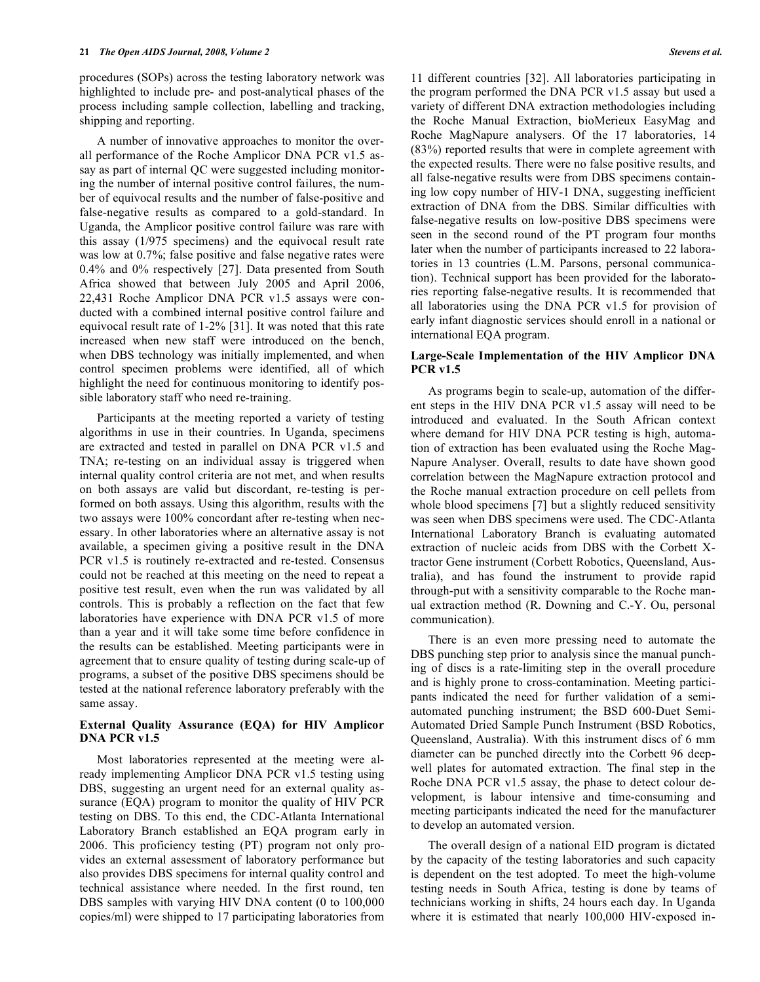procedures (SOPs) across the testing laboratory network was highlighted to include pre- and post-analytical phases of the process including sample collection, labelling and tracking, shipping and reporting.

 A number of innovative approaches to monitor the overall performance of the Roche Amplicor DNA PCR v1.5 assay as part of internal QC were suggested including monitoring the number of internal positive control failures, the number of equivocal results and the number of false-positive and false-negative results as compared to a gold-standard. In Uganda, the Amplicor positive control failure was rare with this assay (1/975 specimens) and the equivocal result rate was low at  $0.7\%$ ; false positive and false negative rates were 0.4% and 0% respectively [27]. Data presented from South Africa showed that between July 2005 and April 2006, 22,431 Roche Amplicor DNA PCR v1.5 assays were conducted with a combined internal positive control failure and equivocal result rate of 1-2% [31]. It was noted that this rate increased when new staff were introduced on the bench, when DBS technology was initially implemented, and when control specimen problems were identified, all of which highlight the need for continuous monitoring to identify possible laboratory staff who need re-training.

 Participants at the meeting reported a variety of testing algorithms in use in their countries. In Uganda, specimens are extracted and tested in parallel on DNA PCR v1.5 and TNA; re-testing on an individual assay is triggered when internal quality control criteria are not met, and when results on both assays are valid but discordant, re-testing is performed on both assays. Using this algorithm, results with the two assays were 100% concordant after re-testing when necessary. In other laboratories where an alternative assay is not available, a specimen giving a positive result in the DNA PCR v1.5 is routinely re-extracted and re-tested. Consensus could not be reached at this meeting on the need to repeat a positive test result, even when the run was validated by all controls. This is probably a reflection on the fact that few laboratories have experience with DNA PCR v1.5 of more than a year and it will take some time before confidence in the results can be established. Meeting participants were in agreement that to ensure quality of testing during scale-up of programs, a subset of the positive DBS specimens should be tested at the national reference laboratory preferably with the same assay.

# **External Quality Assurance (EQA) for HIV Amplicor DNA PCR v1.5**

 Most laboratories represented at the meeting were already implementing Amplicor DNA PCR v1.5 testing using DBS, suggesting an urgent need for an external quality assurance (EQA) program to monitor the quality of HIV PCR testing on DBS. To this end, the CDC-Atlanta International Laboratory Branch established an EQA program early in 2006. This proficiency testing (PT) program not only provides an external assessment of laboratory performance but also provides DBS specimens for internal quality control and technical assistance where needed. In the first round, ten DBS samples with varying HIV DNA content (0 to 100,000 copies/ml) were shipped to 17 participating laboratories from 11 different countries [32]. All laboratories participating in the program performed the DNA PCR v1.5 assay but used a variety of different DNA extraction methodologies including the Roche Manual Extraction, bioMerieux EasyMag and Roche MagNapure analysers. Of the 17 laboratories, 14 (83%) reported results that were in complete agreement with the expected results. There were no false positive results, and all false-negative results were from DBS specimens containing low copy number of HIV-1 DNA, suggesting inefficient extraction of DNA from the DBS. Similar difficulties with false-negative results on low-positive DBS specimens were seen in the second round of the PT program four months later when the number of participants increased to 22 laboratories in 13 countries (L.M. Parsons, personal communication). Technical support has been provided for the laboratories reporting false-negative results. It is recommended that all laboratories using the DNA PCR v1.5 for provision of early infant diagnostic services should enroll in a national or international EQA program.

# **Large-Scale Implementation of the HIV Amplicor DNA PCR v1.5**

 As programs begin to scale-up, automation of the different steps in the HIV DNA PCR v1.5 assay will need to be introduced and evaluated. In the South African context where demand for HIV DNA PCR testing is high, automation of extraction has been evaluated using the Roche Mag-Napure Analyser. Overall, results to date have shown good correlation between the MagNapure extraction protocol and the Roche manual extraction procedure on cell pellets from whole blood specimens [7] but a slightly reduced sensitivity was seen when DBS specimens were used. The CDC-Atlanta International Laboratory Branch is evaluating automated extraction of nucleic acids from DBS with the Corbett Xtractor Gene instrument (Corbett Robotics, Queensland, Australia), and has found the instrument to provide rapid through-put with a sensitivity comparable to the Roche manual extraction method (R. Downing and C.-Y. Ou, personal communication).

 There is an even more pressing need to automate the DBS punching step prior to analysis since the manual punching of discs is a rate-limiting step in the overall procedure and is highly prone to cross-contamination. Meeting participants indicated the need for further validation of a semiautomated punching instrument; the BSD 600-Duet Semi-Automated Dried Sample Punch Instrument (BSD Robotics, Queensland, Australia). With this instrument discs of 6 mm diameter can be punched directly into the Corbett 96 deepwell plates for automated extraction. The final step in the Roche DNA PCR v1.5 assay, the phase to detect colour development, is labour intensive and time-consuming and meeting participants indicated the need for the manufacturer to develop an automated version.

 The overall design of a national EID program is dictated by the capacity of the testing laboratories and such capacity is dependent on the test adopted. To meet the high-volume testing needs in South Africa, testing is done by teams of technicians working in shifts, 24 hours each day. In Uganda where it is estimated that nearly 100,000 HIV-exposed in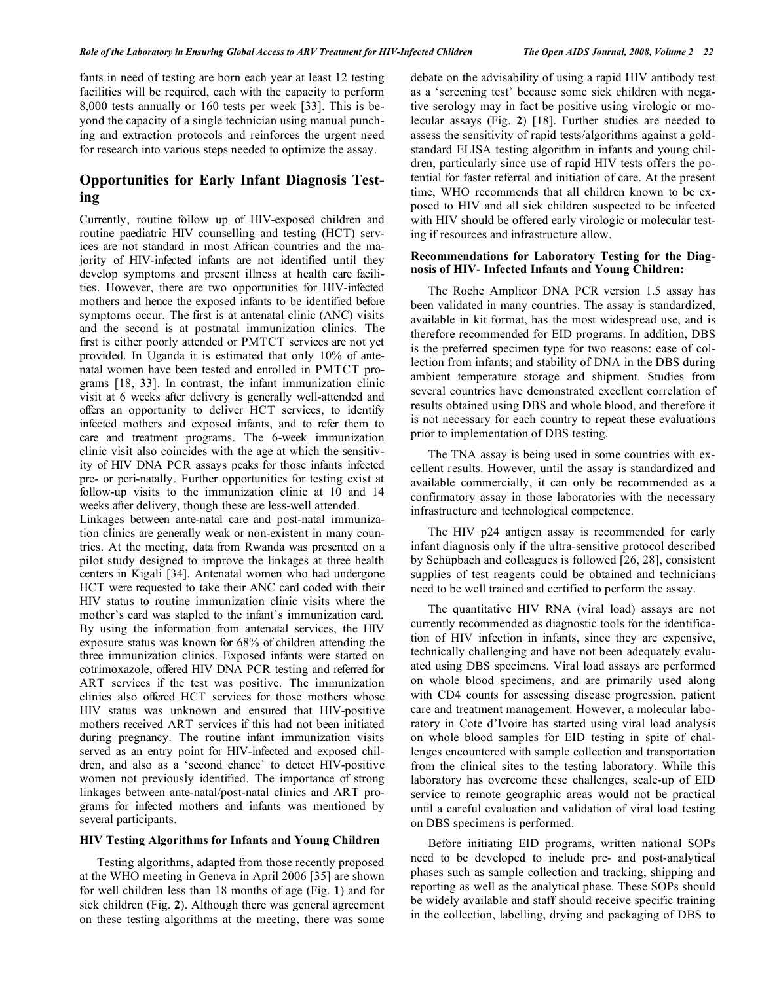fants in need of testing are born each year at least 12 testing facilities will be required, each with the capacity to perform 8,000 tests annually or 160 tests per week [33]. This is beyond the capacity of a single technician using manual punching and extraction protocols and reinforces the urgent need for research into various steps needed to optimize the assay.

# **Opportunities for Early Infant Diagnosis Testing**

Currently, routine follow up of HIV-exposed children and routine paediatric HIV counselling and testing (HCT) services are not standard in most African countries and the majority of HIV-infected infants are not identified until they develop symptoms and present illness at health care facilities. However, there are two opportunities for HIV-infected mothers and hence the exposed infants to be identified before symptoms occur. The first is at antenatal clinic (ANC) visits and the second is at postnatal immunization clinics. The first is either poorly attended or PMTCT services are not yet provided. In Uganda it is estimated that only 10% of antenatal women have been tested and enrolled in PMTCT programs [18, 33]. In contrast, the infant immunization clinic visit at 6 weeks after delivery is generally well-attended and offers an opportunity to deliver HCT services, to identify infected mothers and exposed infants, and to refer them to care and treatment programs. The 6-week immunization clinic visit also coincides with the age at which the sensitivity of HIV DNA PCR assays peaks for those infants infected pre- or peri-natally. Further opportunities for testing exist at follow-up visits to the immunization clinic at 10 and 14 weeks after delivery, though these are less-well attended.

Linkages between ante-natal care and post-natal immunization clinics are generally weak or non-existent in many countries. At the meeting, data from Rwanda was presented on a pilot study designed to improve the linkages at three health centers in Kigali [34]. Antenatal women who had undergone HCT were requested to take their ANC card coded with their HIV status to routine immunization clinic visits where the mother's card was stapled to the infant's immunization card. By using the information from antenatal services, the HIV exposure status was known for 68% of children attending the three immunization clinics. Exposed infants were started on cotrimoxazole, offered HIV DNA PCR testing and referred for ART services if the test was positive. The immunization clinics also offered HCT services for those mothers whose HIV status was unknown and ensured that HIV-positive mothers received ART services if this had not been initiated during pregnancy. The routine infant immunization visits served as an entry point for HIV-infected and exposed children, and also as a 'second chance' to detect HIV-positive women not previously identified. The importance of strong linkages between ante-natal/post-natal clinics and ART programs for infected mothers and infants was mentioned by several participants.

### **HIV Testing Algorithms for Infants and Young Children**

 Testing algorithms, adapted from those recently proposed at the WHO meeting in Geneva in April 2006 [35] are shown for well children less than 18 months of age (Fig. **1**) and for sick children (Fig. **2**). Although there was general agreement on these testing algorithms at the meeting, there was some debate on the advisability of using a rapid HIV antibody test as a 'screening test' because some sick children with negative serology may in fact be positive using virologic or molecular assays (Fig. **2**) [18]. Further studies are needed to assess the sensitivity of rapid tests/algorithms against a goldstandard ELISA testing algorithm in infants and young children, particularly since use of rapid HIV tests offers the potential for faster referral and initiation of care. At the present time, WHO recommends that all children known to be exposed to HIV and all sick children suspected to be infected with HIV should be offered early virologic or molecular testing if resources and infrastructure allow.

### **Recommendations for Laboratory Testing for the Diagnosis of HIV- Infected Infants and Young Children:**

 The Roche Amplicor DNA PCR version 1.5 assay has been validated in many countries. The assay is standardized, available in kit format, has the most widespread use, and is therefore recommended for EID programs. In addition, DBS is the preferred specimen type for two reasons: ease of collection from infants; and stability of DNA in the DBS during ambient temperature storage and shipment. Studies from several countries have demonstrated excellent correlation of results obtained using DBS and whole blood, and therefore it is not necessary for each country to repeat these evaluations prior to implementation of DBS testing.

 The TNA assay is being used in some countries with excellent results. However, until the assay is standardized and available commercially, it can only be recommended as a confirmatory assay in those laboratories with the necessary infrastructure and technological competence.

 The HIV p24 antigen assay is recommended for early infant diagnosis only if the ultra-sensitive protocol described by Schüpbach and colleagues is followed [26, 28], consistent supplies of test reagents could be obtained and technicians need to be well trained and certified to perform the assay.

 The quantitative HIV RNA (viral load) assays are not currently recommended as diagnostic tools for the identification of HIV infection in infants, since they are expensive, technically challenging and have not been adequately evaluated using DBS specimens. Viral load assays are performed on whole blood specimens, and are primarily used along with CD4 counts for assessing disease progression, patient care and treatment management. However, a molecular laboratory in Cote d'Ivoire has started using viral load analysis on whole blood samples for EID testing in spite of challenges encountered with sample collection and transportation from the clinical sites to the testing laboratory. While this laboratory has overcome these challenges, scale-up of EID service to remote geographic areas would not be practical until a careful evaluation and validation of viral load testing on DBS specimens is performed.

 Before initiating EID programs, written national SOPs need to be developed to include pre- and post-analytical phases such as sample collection and tracking, shipping and reporting as well as the analytical phase. These SOPs should be widely available and staff should receive specific training in the collection, labelling, drying and packaging of DBS to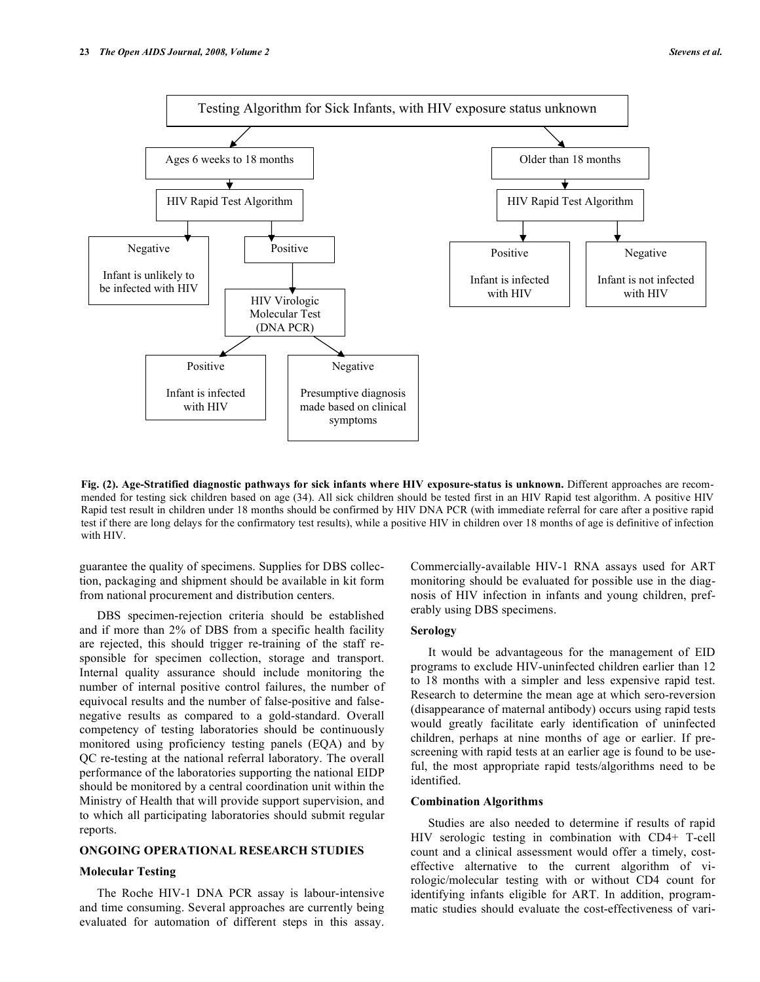

**Fig. (2). Age-Stratified diagnostic pathways for sick infants where HIV exposure-status is unknown.** Different approaches are recommended for testing sick children based on age (34). All sick children should be tested first in an HIV Rapid test algorithm. A positive HIV Rapid test result in children under 18 months should be confirmed by HIV DNA PCR (with immediate referral for care after a positive rapid test if there are long delays for the confirmatory test results), while a positive HIV in children over 18 months of age is definitive of infection with HIV.

guarantee the quality of specimens. Supplies for DBS collection, packaging and shipment should be available in kit form from national procurement and distribution centers.

 DBS specimen-rejection criteria should be established and if more than 2% of DBS from a specific health facility are rejected, this should trigger re-training of the staff responsible for specimen collection, storage and transport. Internal quality assurance should include monitoring the number of internal positive control failures, the number of equivocal results and the number of false-positive and falsenegative results as compared to a gold-standard. Overall competency of testing laboratories should be continuously monitored using proficiency testing panels (EQA) and by QC re-testing at the national referral laboratory. The overall performance of the laboratories supporting the national EIDP should be monitored by a central coordination unit within the Ministry of Health that will provide support supervision, and to which all participating laboratories should submit regular reports.

# **ONGOING OPERATIONAL RESEARCH STUDIES**

# **Molecular Testing**

 The Roche HIV-1 DNA PCR assay is labour-intensive and time consuming. Several approaches are currently being evaluated for automation of different steps in this assay.

Commercially-available HIV-1 RNA assays used for ART monitoring should be evaluated for possible use in the diagnosis of HIV infection in infants and young children, preferably using DBS specimens.

### **Serology**

 It would be advantageous for the management of EID programs to exclude HIV-uninfected children earlier than 12 to 18 months with a simpler and less expensive rapid test. Research to determine the mean age at which sero-reversion (disappearance of maternal antibody) occurs using rapid tests would greatly facilitate early identification of uninfected children, perhaps at nine months of age or earlier. If prescreening with rapid tests at an earlier age is found to be useful, the most appropriate rapid tests/algorithms need to be identified.

### **Combination Algorithms**

 Studies are also needed to determine if results of rapid HIV serologic testing in combination with CD4+ T-cell count and a clinical assessment would offer a timely, costeffective alternative to the current algorithm of virologic/molecular testing with or without CD4 count for identifying infants eligible for ART. In addition, programmatic studies should evaluate the cost-effectiveness of vari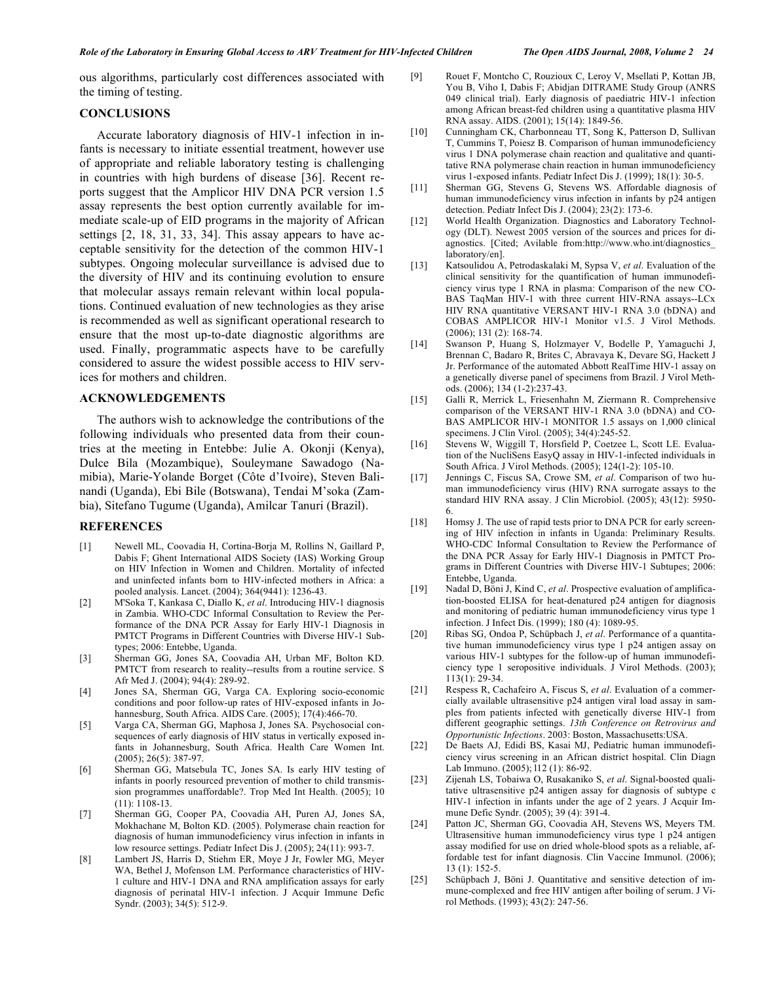ous algorithms, particularly cost differences associated with the timing of testing.

# **CONCLUSIONS**

 Accurate laboratory diagnosis of HIV-1 infection in infants is necessary to initiate essential treatment, however use of appropriate and reliable laboratory testing is challenging in countries with high burdens of disease [36]. Recent reports suggest that the Amplicor HIV DNA PCR version 1.5 assay represents the best option currently available for immediate scale-up of EID programs in the majority of African settings [2, 18, 31, 33, 34]. This assay appears to have acceptable sensitivity for the detection of the common HIV-1 subtypes. Ongoing molecular surveillance is advised due to the diversity of HIV and its continuing evolution to ensure that molecular assays remain relevant within local populations. Continued evaluation of new technologies as they arise is recommended as well as significant operational research to ensure that the most up-to-date diagnostic algorithms are used. Finally, programmatic aspects have to be carefully considered to assure the widest possible access to HIV services for mothers and children.

### **ACKNOWLEDGEMENTS**

 The authors wish to acknowledge the contributions of the following individuals who presented data from their countries at the meeting in Entebbe: Julie A. Okonji (Kenya), Dulce Bila (Mozambique), Souleymane Sawadogo (Namibia), Marie-Yolande Borget (Côte d'Ivoire), Steven Balinandi (Uganda), Ebi Bile (Botswana), Tendai M'soka (Zambia), Sitefano Tugume (Uganda), Amilcar Tanuri (Brazil).

### **REFERENCES**

- [1] Newell ML, Coovadia H, Cortina-Borja M, Rollins N, Gaillard P, Dabis F; Ghent International AIDS Society (IAS) Working Group on HIV Infection in Women and Children. Mortality of infected and uninfected infants born to HIV-infected mothers in Africa: a pooled analysis. Lancet. (2004); 364(9441): 1236-43.
- [2] M'Soka T, Kankasa C, Diallo K, *et al*. Introducing HIV-1 diagnosis in Zambia. WHO-CDC Informal Consultation to Review the Performance of the DNA PCR Assay for Early HIV-1 Diagnosis in PMTCT Programs in Different Countries with Diverse HIV-1 Subtypes; 2006: Entebbe, Uganda.
- [3] Sherman GG, Jones SA, Coovadia AH, Urban MF, Bolton KD. PMTCT from research to reality--results from a routine service. S Afr Med J. (2004); 94(4): 289-92.
- [4] Jones SA, Sherman GG, Varga CA. Exploring socio-economic conditions and poor follow-up rates of HIV-exposed infants in Johannesburg, South Africa. AIDS Care. (2005); 17(4):466-70.
- [5] Varga CA, Sherman GG, Maphosa J, Jones SA. Psychosocial consequences of early diagnosis of HIV status in vertically exposed infants in Johannesburg, South Africa. Health Care Women Int. (2005); 26(5): 387-97.
- [6] Sherman GG, Matsebula TC, Jones SA. Is early HIV testing of infants in poorly resourced prevention of mother to child transmission programmes unaffordable?. Trop Med Int Health. (2005); 10 (11): 1108-13.
- [7] Sherman GG, Cooper PA, Coovadia AH, Puren AJ, Jones SA, Mokhachane M, Bolton KD. (2005). Polymerase chain reaction for diagnosis of human immunodeficiency virus infection in infants in low resource settings. Pediatr Infect Dis J. (2005); 24(11): 993-7.
- [8] Lambert JS, Harris D, Stiehm ER, Moye J Jr, Fowler MG, Meyer WA, Bethel J, Mofenson LM. Performance characteristics of HIV-1 culture and HIV-1 DNA and RNA amplification assays for early diagnosis of perinatal HIV-1 infection. J Acquir Immune Defic Syndr. (2003); 34(5): 512-9.
- [9] Rouet F, Montcho C, Rouzioux C, Leroy V, Msellati P, Kottan JB, You B, Viho I, Dabis F; Abidjan DITRAME Study Group (ANRS 049 clinical trial). Early diagnosis of paediatric HIV-1 infection among African breast-fed children using a quantitative plasma HIV RNA assay. AIDS. (2001); 15(14): 1849-56.
- [10] Cunningham CK, Charbonneau TT, Song K, Patterson D, Sullivan T, Cummins T, Poiesz B. Comparison of human immunodeficiency virus 1 DNA polymerase chain reaction and qualitative and quantitative RNA polymerase chain reaction in human immunodeficiency virus 1-exposed infants. Pediatr Infect Dis J. (1999); 18(1): 30-5.
- [11] Sherman GG, Stevens G, Stevens WS. Affordable diagnosis of human immunodeficiency virus infection in infants by p24 antigen detection. Pediatr Infect Dis J. (2004); 23(2): 173-6.
- [12] World Health Organization. Diagnostics and Laboratory Technology (DLT). Newest 2005 version of the sources and prices for diagnostics. [Cited; Avilable from:http://www.who.int/diagnostics\_ laboratory/en].
- [13] Katsoulidou A, Petrodaskalaki M, Sypsa V, *et al*. Evaluation of the clinical sensitivity for the quantification of human immunodeficiency virus type 1 RNA in plasma: Comparison of the new CO-BAS TaqMan HIV-1 with three current HIV-RNA assays--LCx HIV RNA quantitative VERSANT HIV-1 RNA 3.0 (bDNA) and COBAS AMPLICOR HIV-1 Monitor v1.5. J Virol Methods. (2006); 131 (2): 168-74.
- [14] Swanson P, Huang S, Holzmayer V, Bodelle P, Yamaguchi J, Brennan C, Badaro R, Brites C, Abravaya K, Devare SG, Hackett J Jr. Performance of the automated Abbott RealTime HIV-1 assay on a genetically diverse panel of specimens from Brazil. J Virol Methods. (2006); 134 (1-2):237-43.
- [15] Galli R, Merrick L, Friesenhahn M, Ziermann R. Comprehensive comparison of the VERSANT HIV-1 RNA 3.0 (bDNA) and CO-BAS AMPLICOR HIV-1 MONITOR 1.5 assays on 1,000 clinical specimens. J Clin Virol. (2005); 34(4):245-52.
- [16] Stevens W, Wiggill T, Horsfield P, Coetzee L, Scott LE. Evaluation of the NucliSens EasyQ assay in HIV-1-infected individuals in South Africa. J Virol Methods. (2005); 124(1-2): 105-10.
- [17] Jennings C, Fiscus SA, Crowe SM, *et al*. Comparison of two human immunodeficiency virus (HIV) RNA surrogate assays to the standard HIV RNA assay. J Clin Microbiol. (2005); 43(12): 5950- 6.
- [18] Homsy J. The use of rapid tests prior to DNA PCR for early screening of HIV infection in infants in Uganda: Preliminary Results. WHO-CDC Informal Consultation to Review the Performance of the DNA PCR Assay for Early HIV-1 Diagnosis in PMTCT Programs in Different Countries with Diverse HIV-1 Subtupes; 2006: Entebbe, Uganda.
- [19] Nadal D, Böni J, Kind C, *et al*. Prospective evaluation of amplification-boosted ELISA for heat-denatured p24 antigen for diagnosis and monitoring of pediatric human immunodeficiency virus type 1 infection. J Infect Dis. (1999); 180 (4): 1089-95.
- [20] Ribas SG, Ondoa P, Schüpbach J, *et al*. Performance of a quantitative human immunodeficiency virus type 1 p24 antigen assay on various HIV-1 subtypes for the follow-up of human immunodeficiency type 1 seropositive individuals. J Virol Methods. (2003); 113(1): 29-34.
- [21] Respess R, Cachafeiro A, Fiscus S, *et al*. Evaluation of a commercially available ultrasensitive p24 antigen viral load assay in samples from patients infected with genetically diverse HIV-1 from different geographic settings. *13th Conference on Retrovirus and Opportunistic Infections*. 2003: Boston, Massachusetts:USA.
- [22] De Baets AJ, Edidi BS, Kasai MJ, Pediatric human immunodeficiency virus screening in an African district hospital. Clin Diagn Lab Immuno. (2005); l12 (1): 86-92.
- [23] Zijenah LS, Tobaiwa O, Rusakaniko S, *et al*. Signal-boosted qualitative ultrasensitive p24 antigen assay for diagnosis of subtype c HIV-1 infection in infants under the age of 2 years. J Acquir Immune Defic Syndr. (2005); 39 (4): 391-4.
- [24] Patton JC, Sherman GG, Coovadia AH, Stevens WS, Meyers TM. Ultrasensitive human immunodeficiency virus type 1 p24 antigen assay modified for use on dried whole-blood spots as a reliable, affordable test for infant diagnosis. Clin Vaccine Immunol. (2006); 13 (1): 152-5.
- [25] Schüpbach J, Böni J. Quantitative and sensitive detection of immune-complexed and free HIV antigen after boiling of serum. J Virol Methods. (1993); 43(2): 247-56.